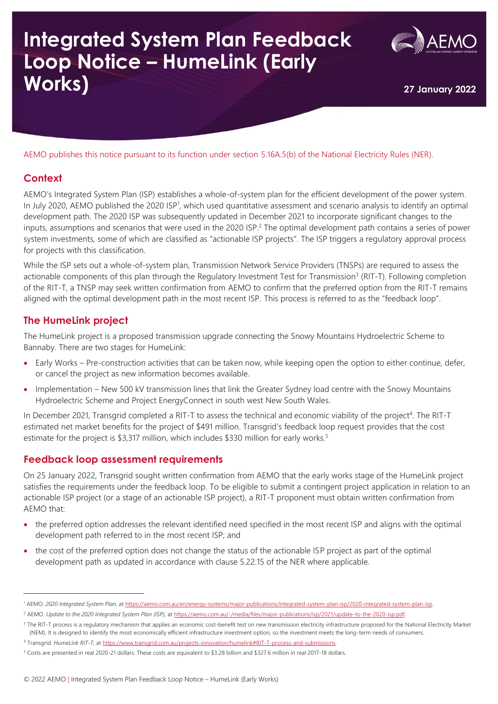# **Integrated System Plan Feedback Loop Notice – HumeLink (Early Works) <sup>27</sup> January <sup>2022</sup>**



AEMO publishes this notice pursuant to its function under section 5.16A.5(b) of the National Electricity Rules (NER).

#### **Context**

AEMO's Integrated System Plan (ISP) establishes a whole-of-system plan for the efficient development of the power system. In July 2020, AEMO published the 2020 ISP<sup>1</sup>, which used quantitative assessment and scenario analysis to identify an optimal development path. The 2020 ISP was subsequently updated in December 2021 to incorporate significant changes to the inputs, assumptions and scenarios that were used in the 2020 ISP.<sup>2</sup> The optimal development path contains a series of power system investments, some of which are classified as "actionable ISP projects". The ISP triggers a regulatory approval process for projects with this classification.

While the ISP sets out a whole-of-system plan, Transmission Network Service Providers (TNSPs) are required to assess the actionable components of this plan through the Regulatory Investment Test for Transmission<sup>3</sup> (RIT-T). Following completion of the RIT-T, a TNSP may seek written confirmation from AEMO to confirm that the preferred option from the RIT-T remains aligned with the optimal development path in the most recent ISP. This process is referred to as the "feedback loop".

### **The HumeLink project**

The HumeLink project is a proposed transmission upgrade connecting the Snowy Mountains Hydroelectric Scheme to Bannaby. There are two stages for HumeLink:

- Early Works Pre-construction activities that can be taken now, while keeping open the option to either continue, defer, or cancel the project as new information becomes available.
- Implementation New 500 kV transmission lines that link the Greater Sydney load centre with the Snowy Mountains Hydroelectric Scheme and Project EnergyConnect in south west New South Wales.

In December 2021, Transgrid completed a RIT-T to assess the technical and economic viability of the project<sup>4</sup>. The RIT-T estimated net market benefits for the project of \$491 million. Transgrid's feedback loop request provides that the cost estimate for the project is \$3,317 million, which includes \$330 million for early works.<sup>5</sup>

#### **Feedback loop assessment requirements**

On 25 January 2022, Transgrid sought written confirmation from AEMO that the early works stage of the HumeLink project satisfies the requirements under the feedback loop. To be eligible to submit a contingent project application in relation to an actionable ISP project (or a stage of an actionable ISP project), a RIT-T proponent must obtain written confirmation from AEMO that:

- the preferred option addresses the relevant identified need specified in the most recent ISP and aligns with the optimal development path referred to in the most recent ISP; and
- the cost of the preferred option does not change the status of the actionable ISP project as part of the optimal development path as updated in accordance with clause 5.22.15 of the NER where applicable.

<sup>1</sup> AEMO. *2020 Integrated System Plan*, a[t https://aemo.com.au/en/energy-systems/major-publications/integrated-system-plan-isp/2020-integrated-system-plan-isp.](https://aemo.com.au/en/energy-systems/major-publications/integrated-system-plan-isp/2020-integrated-system-plan-isp) 

<sup>&</sup>lt;sup>2</sup> AEMO. Update to the 2020 Integrated System Plan (ISP), at https://aemo.com.au/-/media/files/major-publications/isp/2021/update-to-the-2020-isp.pdf

<sup>&</sup>lt;sup>3</sup> The RIT-T process is a regulatory mechanism that applies an economic cost-benefit test on new transmission electricity infrastructure proposed for the National Electricity Market (NEM). It is designed to identify the most economically efficient infrastructure investment option, so the investment meets the long-term needs of consumers.

<sup>4</sup> Transgrid. *HumeLink RIT-T*, at [https://www.transgrid.com.au/projects-innovation/humelink#RIT-T-process-and-submissions.](https://www.transgrid.com.au/projects-innovation/humelink#RIT-T-process-and-submissions)

<sup>5</sup> Costs are presented in real 2020-21 dollars. These costs are equivalent to \$3.28 billion and \$327.6 million in real 2017-18 dollars.